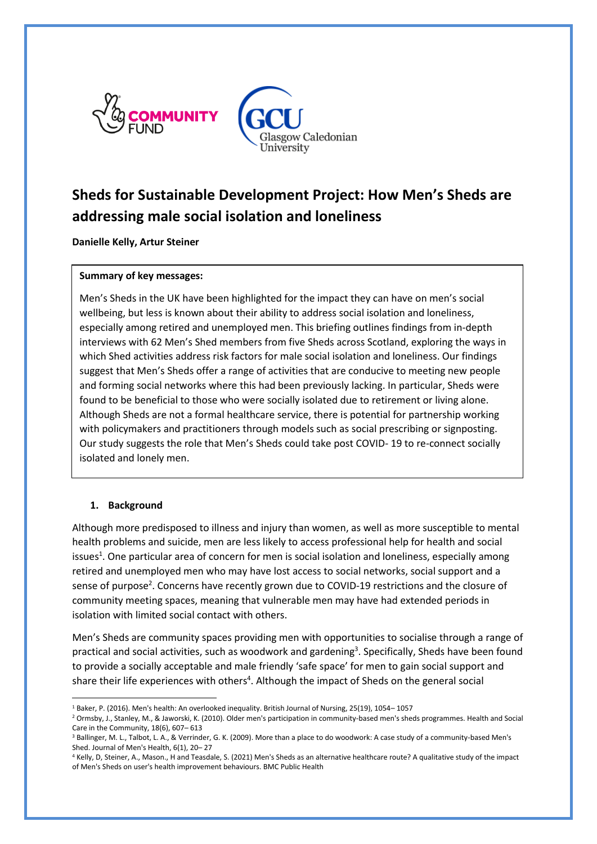

# **Sheds for Sustainable Development Project: How Men's Sheds are addressing male social isolation and loneliness**

**Danielle Kelly, Artur Steiner**

### **Summary of key messages:**

Men's Sheds in the UK have been highlighted for the impact they can have on men's social wellbeing, but less is known about their ability to address social isolation and loneliness, especially among retired and unemployed men. This briefing outlines findings from in-depth interviews with 62 Men's Shed members from five Sheds across Scotland, exploring the ways in which Shed activities address risk factors for male social isolation and loneliness. Our findings suggest that Men's Sheds offer a range of activities that are conducive to meeting new people and forming social networks where this had been previously lacking. In particular, Sheds were found to be beneficial to those who were socially isolated due to retirement or living alone. Although Sheds are not a formal healthcare service, there is potential for partnership working with policymakers and practitioners through models such as social prescribing or signposting. Our study suggests the role that Men's Sheds could take post COVID- 19 to re-connect socially isolated and lonely men.

## **1. Background**

**.** 

Although more predisposed to illness and injury than women, as well as more susceptible to mental health problems and suicide, men are less likely to access professional help for health and social issues<sup>1</sup>. One particular area of concern for men is social isolation and loneliness, especially among retired and unemployed men who may have lost access to social networks, social support and a sense of purpose<sup>2</sup>. Concerns have recently grown due to COVID-19 restrictions and the closure of community meeting spaces, meaning that vulnerable men may have had extended periods in isolation with limited social contact with others.

Men's Sheds are community spaces providing men with opportunities to socialise through a range of practical and social activities, such as woodwork and gardening<sup>3</sup>. Specifically, Sheds have been found to provide a socially acceptable and male friendly 'safe space' for men to gain social support and share their life experiences with others<sup>4</sup>. Although the impact of Sheds on the general social

<sup>1</sup> Baker, P. (2016). Men's health: An overlooked inequality. British Journal of Nursing, 25(19), 1054– 1057

<sup>&</sup>lt;sup>2</sup> Ormsby, J., Stanley, M., & Jaworski, K. (2010). Older men's participation in community-based men's sheds programmes. Health and Social Care in the Community, 18(6), 607– 613

<sup>&</sup>lt;sup>3</sup> Ballinger, M. L., Talbot, L. A., & Verrinder, G. K. (2009). More than a place to do woodwork: A case study of a community-based Men's Shed. Journal of Men's Health, 6(1), 20– 27

<sup>4</sup> Kelly, D, Steiner, A., Mason., H and Teasdale, S. (2021) Men's Sheds as an alternative healthcare route? A qualitative study of the impact of Men's Sheds on user's health improvement behaviours. BMC Public Health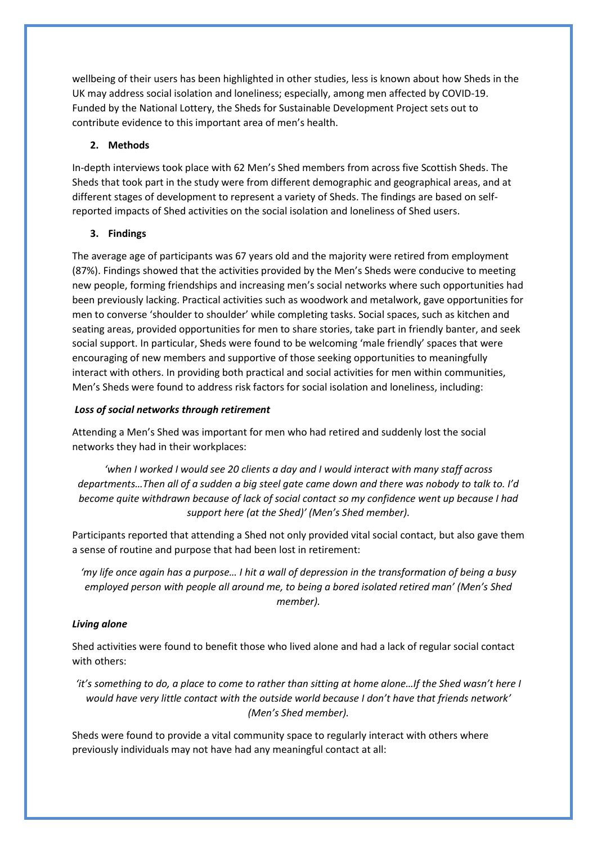wellbeing of their users has been highlighted in other studies, less is known about how Sheds in the UK may address social isolation and loneliness; especially, among men affected by COVID-19. Funded by the National Lottery, the Sheds for Sustainable Development Project sets out to contribute evidence to this important area of men's health.

## **2. Methods**

In-depth interviews took place with 62 Men's Shed members from across five Scottish Sheds. The Sheds that took part in the study were from different demographic and geographical areas, and at different stages of development to represent a variety of Sheds. The findings are based on selfreported impacts of Shed activities on the social isolation and loneliness of Shed users.

## **3. Findings**

The average age of participants was 67 years old and the majority were retired from employment (87%). Findings showed that the activities provided by the Men's Sheds were conducive to meeting new people, forming friendships and increasing men's social networks where such opportunities had been previously lacking. Practical activities such as woodwork and metalwork, gave opportunities for men to converse 'shoulder to shoulder' while completing tasks. Social spaces, such as kitchen and seating areas, provided opportunities for men to share stories, take part in friendly banter, and seek social support. In particular, Sheds were found to be welcoming 'male friendly' spaces that were encouraging of new members and supportive of those seeking opportunities to meaningfully interact with others. In providing both practical and social activities for men within communities, Men's Sheds were found to address risk factors for social isolation and loneliness, including:

### *Loss of social networks through retirement*

Attending a Men's Shed was important for men who had retired and suddenly lost the social networks they had in their workplaces:

*'when I worked I would see 20 clients a day and I would interact with many staff across departments…Then all of a sudden a big steel gate came down and there was nobody to talk to. I'd become quite withdrawn because of lack of social contact so my confidence went up because I had support here (at the Shed)' (Men's Shed member).*

Participants reported that attending a Shed not only provided vital social contact, but also gave them a sense of routine and purpose that had been lost in retirement:

*'my life once again has a purpose… I hit a wall of depression in the transformation of being a busy employed person with people all around me, to being a bored isolated retired man' (Men's Shed member).*

### *Living alone*

Shed activities were found to benefit those who lived alone and had a lack of regular social contact with others:

*'it's something to do, a place to come to rather than sitting at home alone…If the Shed wasn't here I would have very little contact with the outside world because I don't have that friends network' (Men's Shed member).*

Sheds were found to provide a vital community space to regularly interact with others where previously individuals may not have had any meaningful contact at all: